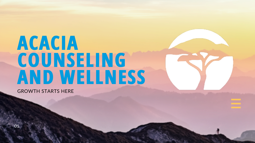# **ACACIA COUNSELING AND WELLNESS**

01.



GROWTH STARTS HERE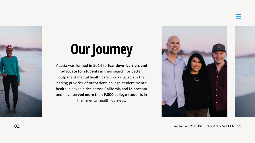

# **Our Journey**

Acacia was formed in 2014 to tear down barriers and advocate for students in their search for better outpatient mental health care. Today, Acacia is the leading provider of outpatient, college student mental health in seven cities across California and Minnesota and have served more than 9,000 college students in their mental health journeys.





#### 02. ACACIA COUNSELING AND WELLNESS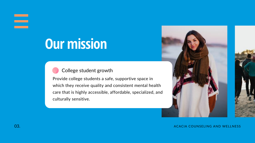### 

## **Our mission**



#### College student growth

Provide college students a safe, supportive space in which they receive quality and consistent mental health care that is highly accessible, affordable, specialized, and culturally sensitive.



#### 03. ACACIA COUNSELING AND WELLNESS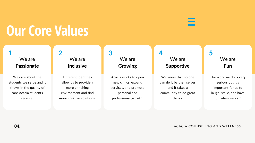#### We are Passionate

We care about the students we serve and it shows in the quality of care Acacia students receive.

1

## **Our Core Values**

04. ACACIA COUNSELING AND WELLNESS

### We are Inclusive

Different identities allow us to provide a more enriching environment and find more creative solutions.

We know that no one can do it by themselves and it takes a community to do great things.

2

We are Growing

Acacia works to open new clinics, expand services, and promote personal and professional growth.

3

### We are Supportive

4

### We are Fun

The work we do is very serious but it's important for us to laugh, smile, and have fun when we can!

5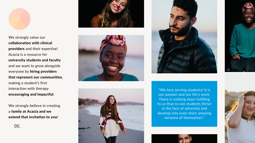

We strongly value our collaboration with clinical providers and their expertise! Acacia is a resource for university students and faculty and we want to grow alongside everyone by hiring providers that represent our communities, making a student' 's first interaction with therapy encouraging and impactful.

We strongly believe in creating a family at Acacia and we extend that invitation to you!





0 5 .



"We love serving students! It is our passion and our life's work. There is nothing more fulfilling to us than to see students thrive in the face of adversity and develop into even more amazing versions of themselves."





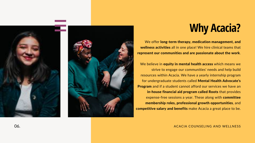



We offer long-term therapy, medication management, and wellness activities all in one place! We hire clinical teams that represent our communities and are passionate about the work.

We believe in equity in mental health access which means we strive to engage our communities' ' needs and help build resources within Acacia. We have a yearly internship program for undergraduate students called Mental Health Advocate' s Program and if a student cannot afford our services we have an in-house financial aid program called Roots that provides expense-free sessions a year. These along with committee membership roles, professional growth opportunities, and competitive salary and benefits make Acacia a great place to be.

### **Why Acacia?**

ACACIA COUNSELING AND WELLNESS